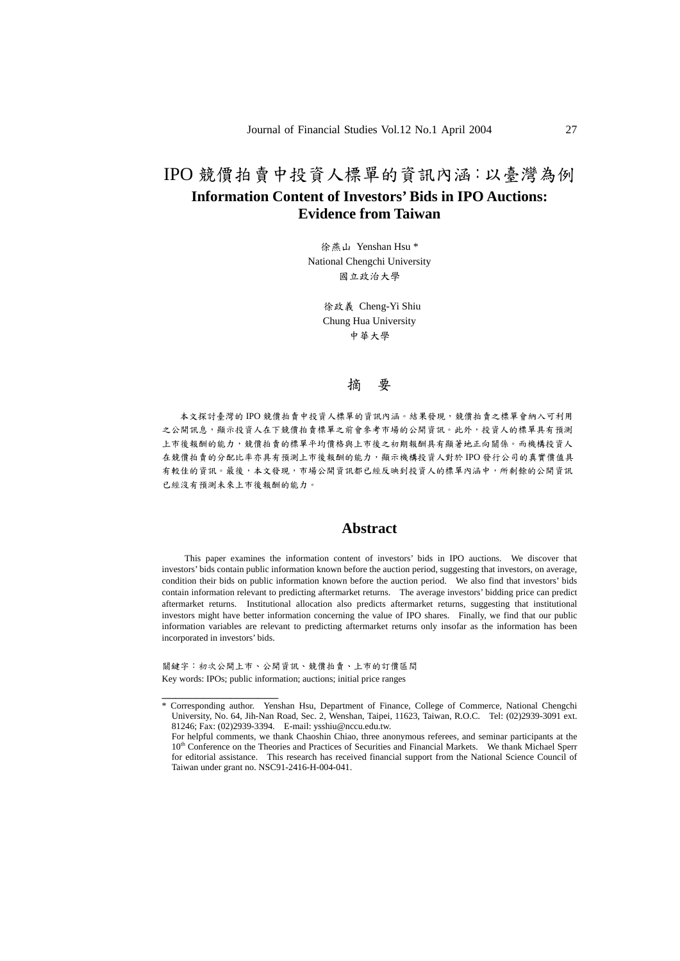# IPO 競價拍賣中投資人標單的資訊內涵:以臺灣為例 **Information Content of Investors' Bids in IPO Auctions: Evidence from Taiwan**

徐燕山 Yenshan Hsu \* National Chengchi University 國立政治大學

> 徐政義 Cheng-Yi Shiu Chung Hua University 中華大學

#### 摘 要

本文探討臺灣的 IPO 競價拍賣中投資人標單的資訊內涵。結果發現,競價拍賣之標單會納入可利用 之公開訊息,顯示投資人在下競價拍賣標單之前會參考市場的公開資訊。此外,投資人的標單具有預測 上市後報酬的能力,競價拍賣的標單平均價格與上市後之初期報酬具有顯著地正向關係。而機構投資人 在競價拍賣的分配比率亦具有預測上市後報酬的能力,顯示機構投資人對於 IPO 發行公司的真實價值具 有較佳的資訊。最後,本文發現,市場公開資訊都已經反映到投資人的標單內涵中,所剩餘的公開資訊 已經沒有預測未來上市後報酬的能力。

#### **Abstract**

 This paper examines the information content of investors' bids in IPO auctions. We discover that investors' bids contain public information known before the auction period, suggesting that investors, on average, condition their bids on public information known before the auction period. We also find that investors' bids contain information relevant to predicting aftermarket returns. The average investors' bidding price can predict aftermarket returns. Institutional allocation also predicts aftermarket returns, suggesting that institutional investors might have better information concerning the value of IPO shares. Finally, we find that our public information variables are relevant to predicting aftermarket returns only insofar as the information has been incorporated in investors' bids.

關鍵字:初次公開上市、公開資訊、競價拍賣、上市的訂價區間 Key words: IPOs; public information; auctions; initial price ranges

\_\_\_\_\_\_\_\_\_\_\_\_\_\_\_\_\_

<sup>\*</sup> Corresponding author. Yenshan Hsu, Department of Finance, College of Commerce, National Chengchi University, No. 64, Jih-Nan Road, Sec. 2, Wenshan, Taipei, 11623, Taiwan, R.O.C. Tel: (02)2939-3091 ext. 81246; Fax: (02)2939-3394. E-mail: ysshiu@nccu.edu.tw.

For helpful comments, we thank Chaoshin Chiao, three anonymous referees, and seminar participants at the 10<sup>th</sup> Conference on the Theories and Practices of Securities and Financial Markets. We thank Michael Sperr for editorial assistance. This research has received financial support from the National Science Council of Taiwan under grant no. NSC91-2416-H-004-041.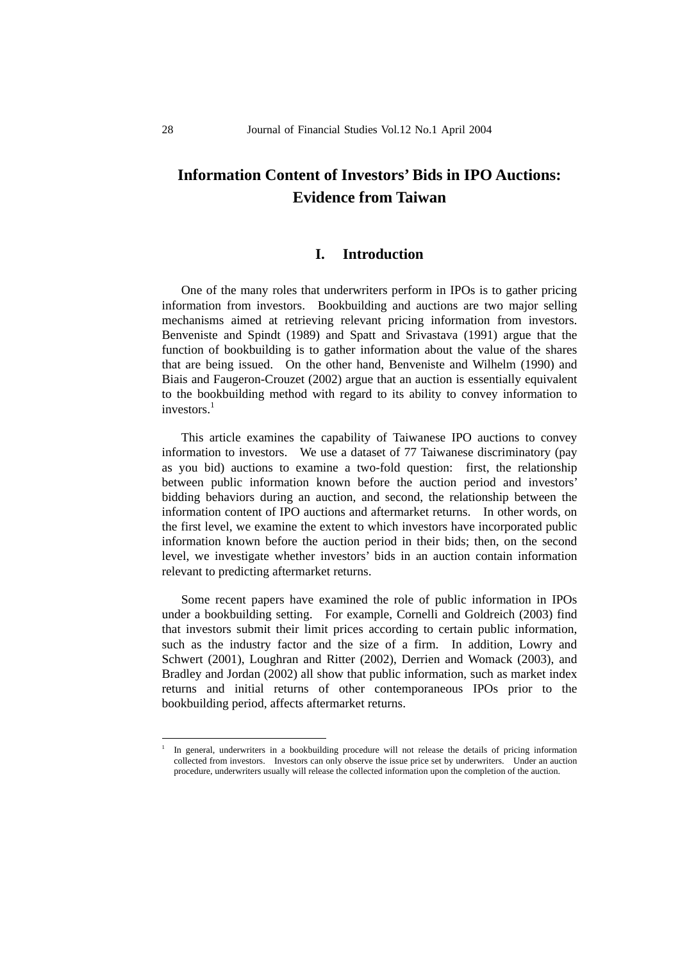# **Information Content of Investors' Bids in IPO Auctions: Evidence from Taiwan**

#### **I. Introduction**

One of the many roles that underwriters perform in IPOs is to gather pricing information from investors. Bookbuilding and auctions are two major selling mechanisms aimed at retrieving relevant pricing information from investors. Benveniste and Spindt (1989) and Spatt and Srivastava (1991) argue that the function of bookbuilding is to gather information about the value of the shares that are being issued. On the other hand, Benveniste and Wilhelm (1990) and Biais and Faugeron-Crouzet (2002) argue that an auction is essentially equivalent to the bookbuilding method with regard to its ability to convey information to investors<sup>1</sup>

This article examines the capability of Taiwanese IPO auctions to convey information to investors. We use a dataset of 77 Taiwanese discriminatory (pay as you bid) auctions to examine a two-fold question: first, the relationship between public information known before the auction period and investors' bidding behaviors during an auction, and second, the relationship between the information content of IPO auctions and aftermarket returns. In other words, on the first level, we examine the extent to which investors have incorporated public information known before the auction period in their bids; then, on the second level, we investigate whether investors' bids in an auction contain information relevant to predicting aftermarket returns.

Some recent papers have examined the role of public information in IPOs under a bookbuilding setting. For example, Cornelli and Goldreich (2003) find that investors submit their limit prices according to certain public information, such as the industry factor and the size of a firm. In addition, Lowry and Schwert (2001), Loughran and Ritter (2002), Derrien and Womack (2003), and Bradley and Jordan (2002) all show that public information, such as market index returns and initial returns of other contemporaneous IPOs prior to the bookbuilding period, affects aftermarket returns.

<u>.</u>

<sup>1</sup> In general, underwriters in a bookbuilding procedure will not release the details of pricing information collected from investors. Investors can only observe the issue price set by underwriters. Under an auction procedure, underwriters usually will release the collected information upon the completion of the auction.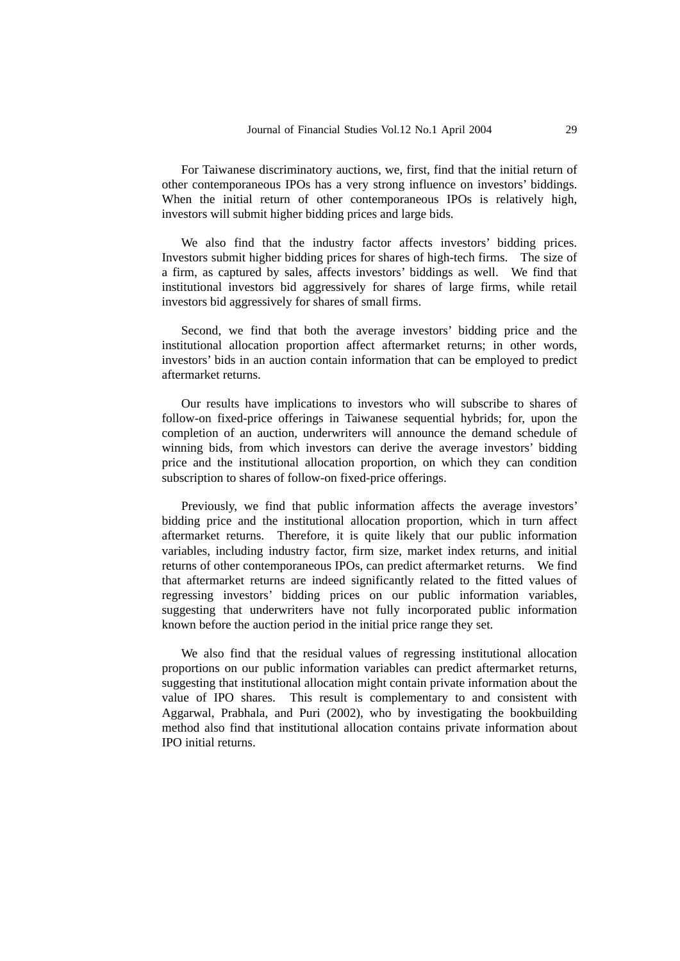For Taiwanese discriminatory auctions, we, first, find that the initial return of other contemporaneous IPOs has a very strong influence on investors' biddings. When the initial return of other contemporaneous IPOs is relatively high, investors will submit higher bidding prices and large bids.

We also find that the industry factor affects investors' bidding prices. Investors submit higher bidding prices for shares of high-tech firms. The size of a firm, as captured by sales, affects investors' biddings as well. We find that institutional investors bid aggressively for shares of large firms, while retail investors bid aggressively for shares of small firms.

Second, we find that both the average investors' bidding price and the institutional allocation proportion affect aftermarket returns; in other words, investors' bids in an auction contain information that can be employed to predict aftermarket returns.

Our results have implications to investors who will subscribe to shares of follow-on fixed-price offerings in Taiwanese sequential hybrids; for, upon the completion of an auction, underwriters will announce the demand schedule of winning bids, from which investors can derive the average investors' bidding price and the institutional allocation proportion, on which they can condition subscription to shares of follow-on fixed-price offerings.

Previously, we find that public information affects the average investors' bidding price and the institutional allocation proportion, which in turn affect aftermarket returns. Therefore, it is quite likely that our public information variables, including industry factor, firm size, market index returns, and initial returns of other contemporaneous IPOs, can predict aftermarket returns. We find that aftermarket returns are indeed significantly related to the fitted values of regressing investors' bidding prices on our public information variables, suggesting that underwriters have not fully incorporated public information known before the auction period in the initial price range they set.

We also find that the residual values of regressing institutional allocation proportions on our public information variables can predict aftermarket returns, suggesting that institutional allocation might contain private information about the value of IPO shares. This result is complementary to and consistent with Aggarwal, Prabhala, and Puri (2002), who by investigating the bookbuilding method also find that institutional allocation contains private information about IPO initial returns.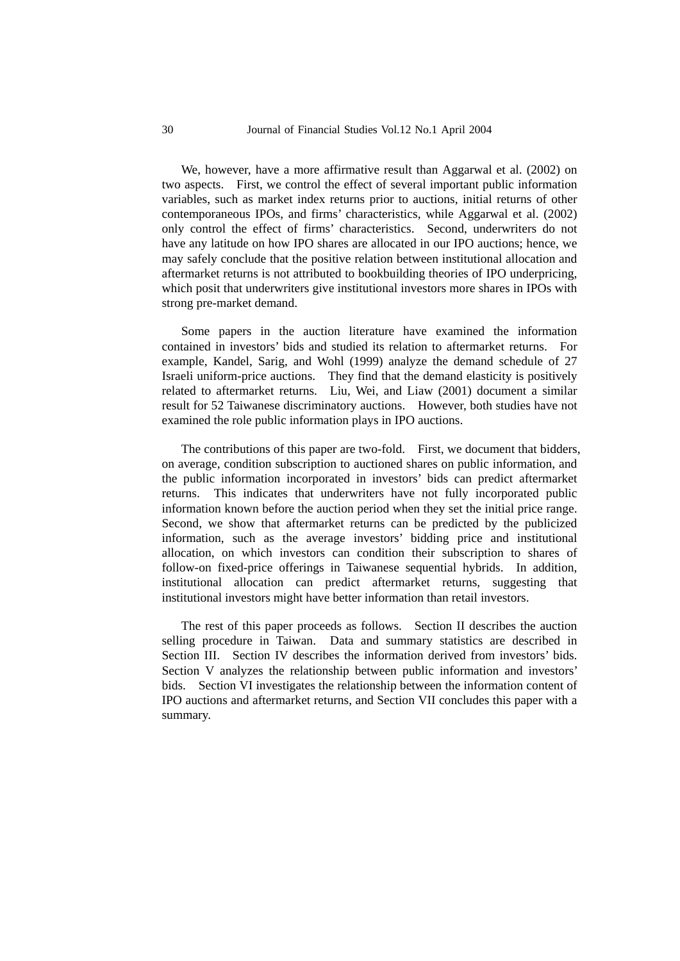We, however, have a more affirmative result than Aggarwal et al. (2002) on two aspects. First, we control the effect of several important public information variables, such as market index returns prior to auctions, initial returns of other contemporaneous IPOs, and firms' characteristics, while Aggarwal et al. (2002) only control the effect of firms' characteristics. Second, underwriters do not have any latitude on how IPO shares are allocated in our IPO auctions; hence, we may safely conclude that the positive relation between institutional allocation and aftermarket returns is not attributed to bookbuilding theories of IPO underpricing, which posit that underwriters give institutional investors more shares in IPOs with strong pre-market demand.

Some papers in the auction literature have examined the information contained in investors' bids and studied its relation to aftermarket returns. For example, Kandel, Sarig, and Wohl (1999) analyze the demand schedule of 27 Israeli uniform-price auctions. They find that the demand elasticity is positively related to aftermarket returns. Liu, Wei, and Liaw (2001) document a similar result for 52 Taiwanese discriminatory auctions. However, both studies have not examined the role public information plays in IPO auctions.

The contributions of this paper are two-fold. First, we document that bidders, on average, condition subscription to auctioned shares on public information, and the public information incorporated in investors' bids can predict aftermarket returns. This indicates that underwriters have not fully incorporated public information known before the auction period when they set the initial price range. Second, we show that aftermarket returns can be predicted by the publicized information, such as the average investors' bidding price and institutional allocation, on which investors can condition their subscription to shares of follow-on fixed-price offerings in Taiwanese sequential hybrids. In addition, institutional allocation can predict aftermarket returns, suggesting that institutional investors might have better information than retail investors.

The rest of this paper proceeds as follows. Section II describes the auction selling procedure in Taiwan. Data and summary statistics are described in Section III. Section IV describes the information derived from investors' bids. Section V analyzes the relationship between public information and investors' bids. Section VI investigates the relationship between the information content of IPO auctions and aftermarket returns, and Section VII concludes this paper with a summary.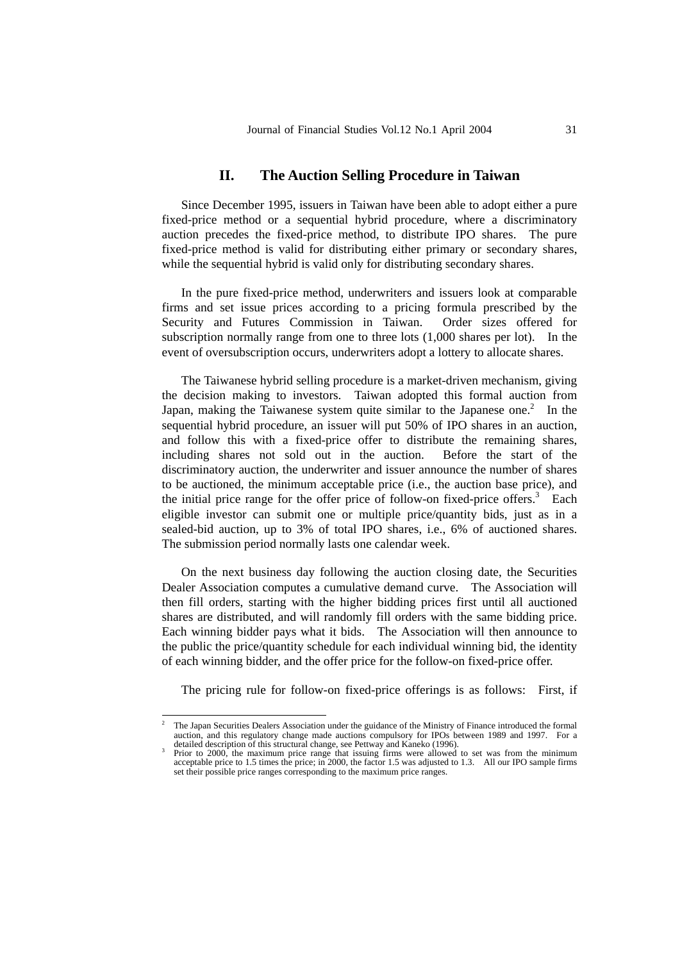### **II. The Auction Selling Procedure in Taiwan**

Since December 1995, issuers in Taiwan have been able to adopt either a pure fixed-price method or a sequential hybrid procedure, where a discriminatory auction precedes the fixed-price method, to distribute IPO shares. The pure fixed-price method is valid for distributing either primary or secondary shares, while the sequential hybrid is valid only for distributing secondary shares.

In the pure fixed-price method, underwriters and issuers look at comparable firms and set issue prices according to a pricing formula prescribed by the Security and Futures Commission in Taiwan. Order sizes offered for subscription normally range from one to three lots (1,000 shares per lot). In the event of oversubscription occurs, underwriters adopt a lottery to allocate shares.

The Taiwanese hybrid selling procedure is a market-driven mechanism, giving the decision making to investors. Taiwan adopted this formal auction from Japan, making the Taiwanese system quite similar to the Japanese one.<sup>2</sup> In the sequential hybrid procedure, an issuer will put 50% of IPO shares in an auction, and follow this with a fixed-price offer to distribute the remaining shares, including shares not sold out in the auction. Before the start of the discriminatory auction, the underwriter and issuer announce the number of shares to be auctioned, the minimum acceptable price (i.e., the auction base price), and the initial price range for the offer price of follow-on fixed-price offers.<sup>3</sup> Each eligible investor can submit one or multiple price/quantity bids, just as in a sealed-bid auction, up to 3% of total IPO shares, i.e., 6% of auctioned shares. The submission period normally lasts one calendar week.

On the next business day following the auction closing date, the Securities Dealer Association computes a cumulative demand curve. The Association will then fill orders, starting with the higher bidding prices first until all auctioned shares are distributed, and will randomly fill orders with the same bidding price. Each winning bidder pays what it bids. The Association will then announce to the public the price/quantity schedule for each individual winning bid, the identity of each winning bidder, and the offer price for the follow-on fixed-price offer.

The pricing rule for follow-on fixed-price offerings is as follows: First, if

<sup>1</sup> 2 The Japan Securities Dealers Association under the guidance of the Ministry of Finance introduced the formal auction, and this regulatory change made auctions compulsory for IPOs between 1989 and 1997. For a detailed description of this structural change, see Pettway and Kaneko (1996).<br><sup>3</sup> Prior to 2000, the maximum price range t

acceptable price to 1.5 times the price; in 2000, the factor 1.5 was adjusted to 1.3. All our IPO sample firms set their possible price ranges corresponding to the maximum price ranges.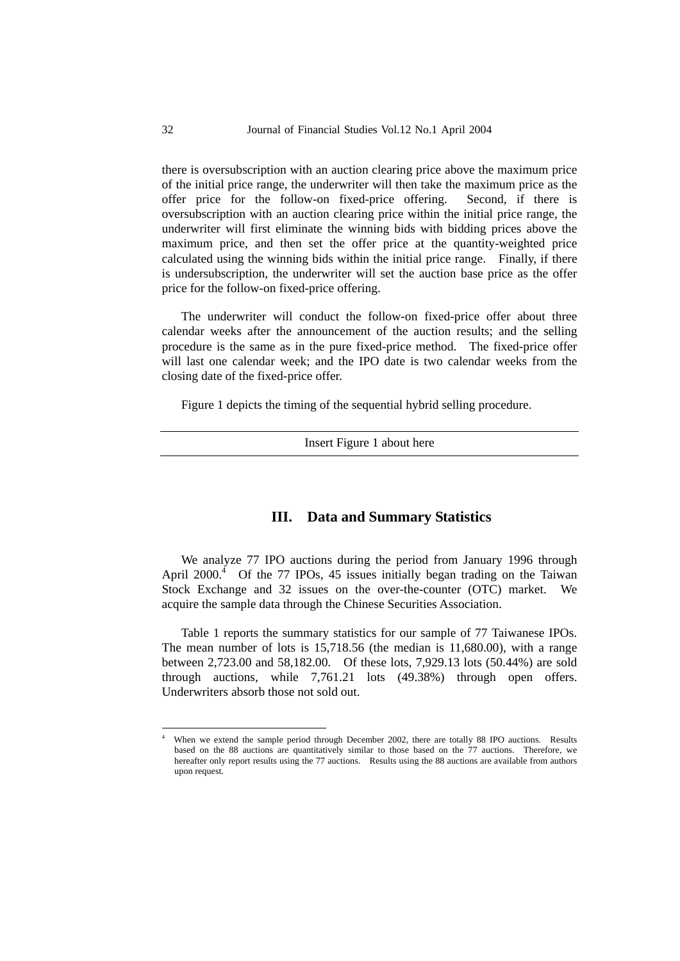there is oversubscription with an auction clearing price above the maximum price of the initial price range, the underwriter will then take the maximum price as the offer price for the follow-on fixed-price offering. Second, if there is oversubscription with an auction clearing price within the initial price range, the underwriter will first eliminate the winning bids with bidding prices above the maximum price, and then set the offer price at the quantity-weighted price calculated using the winning bids within the initial price range. Finally, if there is undersubscription, the underwriter will set the auction base price as the offer price for the follow-on fixed-price offering.

The underwriter will conduct the follow-on fixed-price offer about three calendar weeks after the announcement of the auction results; and the selling procedure is the same as in the pure fixed-price method. The fixed-price offer will last one calendar week; and the IPO date is two calendar weeks from the closing date of the fixed-price offer.

Figure 1 depicts the timing of the sequential hybrid selling procedure.

Insert Figure 1 about here

#### **III. Data and Summary Statistics**

We analyze 77 IPO auctions during the period from January 1996 through April 2000. $4$  Of the 77 IPOs, 45 issues initially began trading on the Taiwan Stock Exchange and 32 issues on the over-the-counter (OTC) market. We acquire the sample data through the Chinese Securities Association.

Table 1 reports the summary statistics for our sample of 77 Taiwanese IPOs. The mean number of lots is 15,718.56 (the median is 11,680.00), with a range between 2,723.00 and 58,182.00. Of these lots, 7,929.13 lots (50.44%) are sold through auctions, while 7,761.21 lots (49.38%) through open offers. Underwriters absorb those not sold out.

1

<sup>4</sup> When we extend the sample period through December 2002, there are totally 88 IPO auctions. Results based on the 88 auctions are quantitatively similar to those based on the 77 auctions. Therefore, we hereafter only report results using the 77 auctions. Results using the 88 auctions are available from authors upon request.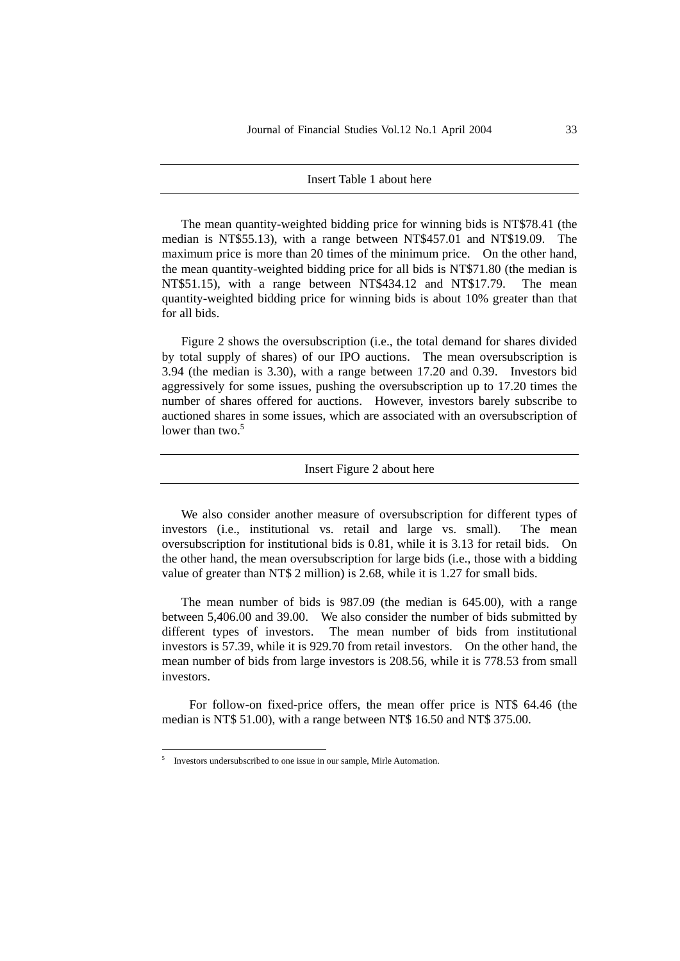#### Insert Table 1 about here

The mean quantity-weighted bidding price for winning bids is NT\$78.41 (the median is NT\$55.13), with a range between NT\$457.01 and NT\$19.09. The maximum price is more than 20 times of the minimum price. On the other hand, the mean quantity-weighted bidding price for all bids is NT\$71.80 (the median is NT\$51.15), with a range between NT\$434.12 and NT\$17.79. The mean quantity-weighted bidding price for winning bids is about 10% greater than that for all bids.

Figure 2 shows the oversubscription (i.e., the total demand for shares divided by total supply of shares) of our IPO auctions. The mean oversubscription is 3.94 (the median is 3.30), with a range between 17.20 and 0.39. Investors bid aggressively for some issues, pushing the oversubscription up to 17.20 times the number of shares offered for auctions. However, investors barely subscribe to auctioned shares in some issues, which are associated with an oversubscription of lower than two. $5$ 

#### Insert Figure 2 about here

We also consider another measure of oversubscription for different types of investors (i.e., institutional vs. retail and large vs. small). The mean oversubscription for institutional bids is 0.81, while it is 3.13 for retail bids. On the other hand, the mean oversubscription for large bids (i.e., those with a bidding value of greater than NT\$ 2 million) is 2.68, while it is 1.27 for small bids.

The mean number of bids is 987.09 (the median is 645.00), with a range between 5,406.00 and 39.00. We also consider the number of bids submitted by different types of investors. The mean number of bids from institutional investors is 57.39, while it is 929.70 from retail investors. On the other hand, the mean number of bids from large investors is 208.56, while it is 778.53 from small investors.

For follow-on fixed-price offers, the mean offer price is NT\$ 64.46 (the median is NT\$ 51.00), with a range between NT\$ 16.50 and NT\$ 375.00.

<u>.</u>

<sup>5</sup> Investors undersubscribed to one issue in our sample, Mirle Automation.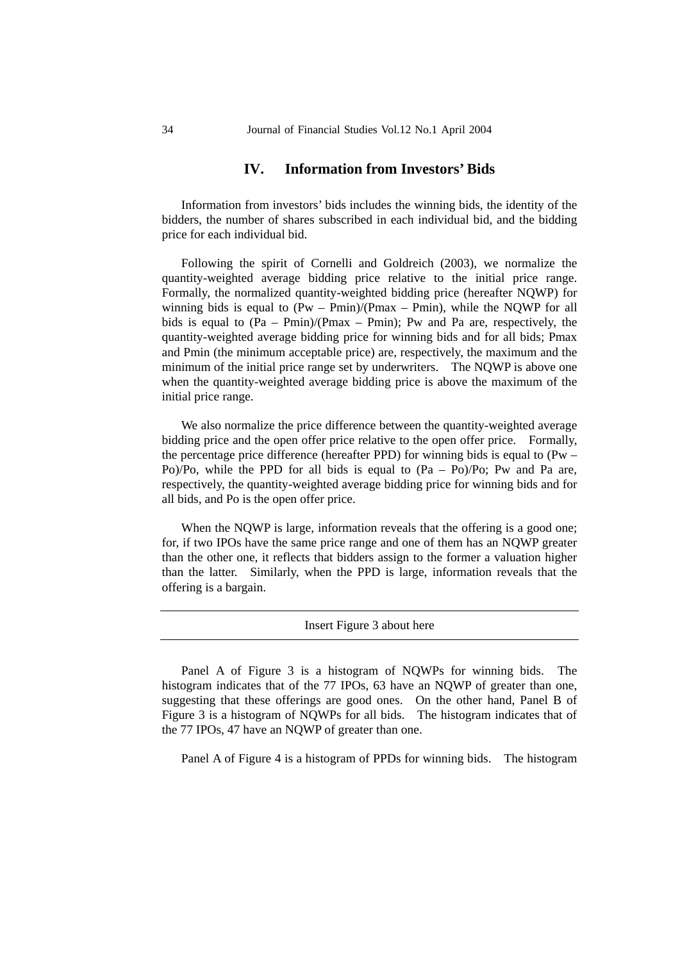## **IV. Information from Investors' Bids**

Information from investors' bids includes the winning bids, the identity of the bidders, the number of shares subscribed in each individual bid, and the bidding price for each individual bid.

Following the spirit of Cornelli and Goldreich (2003), we normalize the quantity-weighted average bidding price relative to the initial price range. Formally, the normalized quantity-weighted bidding price (hereafter NQWP) for winning bids is equal to  $(Pw - Pmin)/(Pmax - Pmin)$ , while the NQWP for all bids is equal to  $(Pa - Pmin)/(Pmax - Pmin)$ ; Pw and Pa are, respectively, the quantity-weighted average bidding price for winning bids and for all bids; Pmax and Pmin (the minimum acceptable price) are, respectively, the maximum and the minimum of the initial price range set by underwriters. The NQWP is above one when the quantity-weighted average bidding price is above the maximum of the initial price range.

We also normalize the price difference between the quantity-weighted average bidding price and the open offer price relative to the open offer price. Formally, the percentage price difference (hereafter PPD) for winning bids is equal to (Pw – Po)/Po, while the PPD for all bids is equal to  $(Pa - Po)$ /Po; Pw and Pa are, respectively, the quantity-weighted average bidding price for winning bids and for all bids, and Po is the open offer price.

When the NQWP is large, information reveals that the offering is a good one; for, if two IPOs have the same price range and one of them has an NQWP greater than the other one, it reflects that bidders assign to the former a valuation higher than the latter. Similarly, when the PPD is large, information reveals that the offering is a bargain.

Insert Figure 3 about here

Panel A of Figure 3 is a histogram of NQWPs for winning bids. The histogram indicates that of the 77 IPOs, 63 have an NQWP of greater than one, suggesting that these offerings are good ones. On the other hand, Panel B of Figure 3 is a histogram of NQWPs for all bids. The histogram indicates that of the 77 IPOs, 47 have an NQWP of greater than one.

Panel A of Figure 4 is a histogram of PPDs for winning bids. The histogram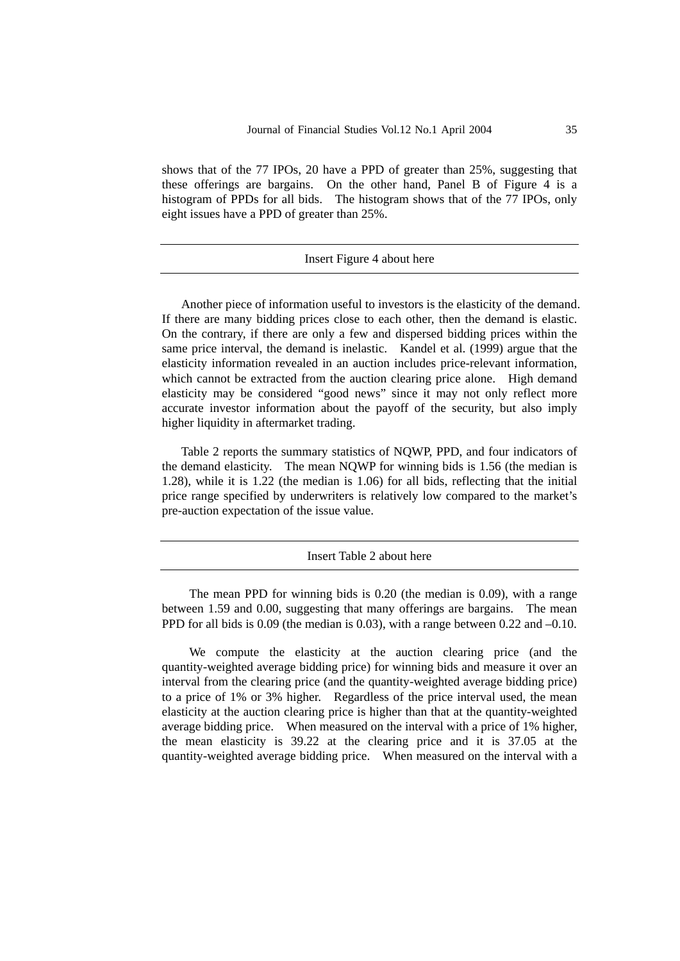shows that of the 77 IPOs, 20 have a PPD of greater than 25%, suggesting that these offerings are bargains. On the other hand, Panel B of Figure 4 is a histogram of PPDs for all bids. The histogram shows that of the 77 IPOs, only eight issues have a PPD of greater than 25%.

#### Insert Figure 4 about here

Another piece of information useful to investors is the elasticity of the demand. If there are many bidding prices close to each other, then the demand is elastic. On the contrary, if there are only a few and dispersed bidding prices within the same price interval, the demand is inelastic. Kandel et al. (1999) argue that the elasticity information revealed in an auction includes price-relevant information, which cannot be extracted from the auction clearing price alone. High demand elasticity may be considered "good news" since it may not only reflect more accurate investor information about the payoff of the security, but also imply higher liquidity in aftermarket trading.

Table 2 reports the summary statistics of NQWP, PPD, and four indicators of the demand elasticity. The mean NQWP for winning bids is 1.56 (the median is 1.28), while it is 1.22 (the median is 1.06) for all bids, reflecting that the initial price range specified by underwriters is relatively low compared to the market's pre-auction expectation of the issue value.

Insert Table 2 about here

The mean PPD for winning bids is 0.20 (the median is 0.09), with a range between 1.59 and 0.00, suggesting that many offerings are bargains. The mean PPD for all bids is 0.09 (the median is 0.03), with a range between 0.22 and –0.10.

We compute the elasticity at the auction clearing price (and the quantity-weighted average bidding price) for winning bids and measure it over an interval from the clearing price (and the quantity-weighted average bidding price) to a price of 1% or 3% higher. Regardless of the price interval used, the mean elasticity at the auction clearing price is higher than that at the quantity-weighted average bidding price. When measured on the interval with a price of 1% higher, the mean elasticity is 39.22 at the clearing price and it is 37.05 at the quantity-weighted average bidding price. When measured on the interval with a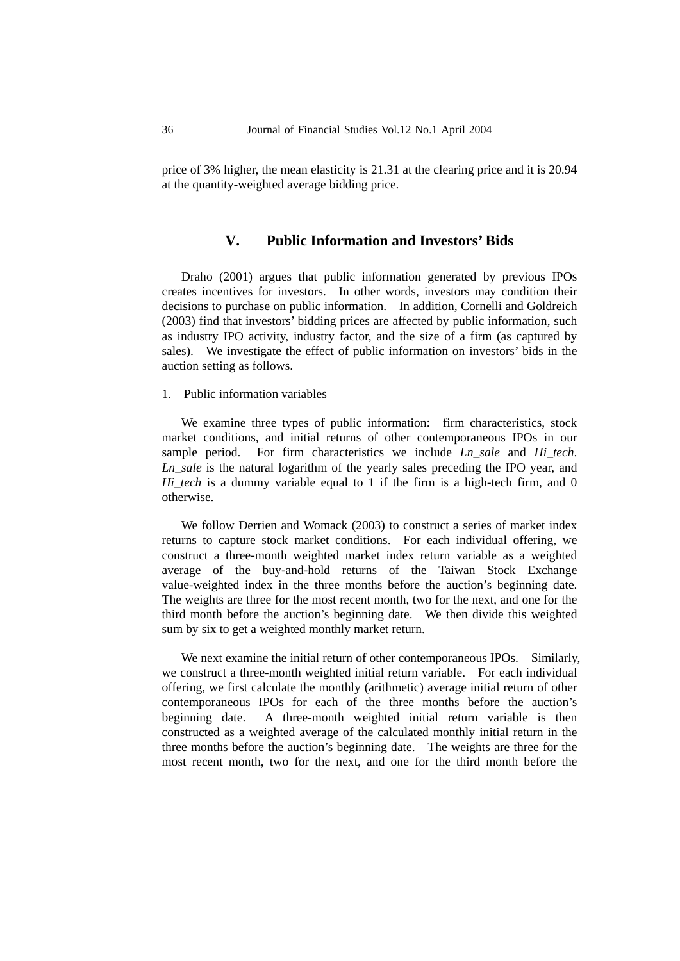price of 3% higher, the mean elasticity is 21.31 at the clearing price and it is 20.94 at the quantity-weighted average bidding price.

### **V. Public Information and Investors' Bids**

Draho (2001) argues that public information generated by previous IPOs creates incentives for investors. In other words, investors may condition their decisions to purchase on public information. In addition, Cornelli and Goldreich (2003) find that investors' bidding prices are affected by public information, such as industry IPO activity, industry factor, and the size of a firm (as captured by sales). We investigate the effect of public information on investors' bids in the auction setting as follows.

#### 1. Public information variables

We examine three types of public information: firm characteristics, stock market conditions, and initial returns of other contemporaneous IPOs in our sample period. For firm characteristics we include *Ln\_sale* and *Hi\_tech*. *Ln\_sale* is the natural logarithm of the yearly sales preceding the IPO year, and *Hi\_tech* is a dummy variable equal to 1 if the firm is a high-tech firm, and 0 otherwise.

We follow Derrien and Womack (2003) to construct a series of market index returns to capture stock market conditions. For each individual offering, we construct a three-month weighted market index return variable as a weighted average of the buy-and-hold returns of the Taiwan Stock Exchange value-weighted index in the three months before the auction's beginning date. The weights are three for the most recent month, two for the next, and one for the third month before the auction's beginning date. We then divide this weighted sum by six to get a weighted monthly market return.

We next examine the initial return of other contemporaneous IPOs. Similarly, we construct a three-month weighted initial return variable. For each individual offering, we first calculate the monthly (arithmetic) average initial return of other contemporaneous IPOs for each of the three months before the auction's beginning date. A three-month weighted initial return variable is then constructed as a weighted average of the calculated monthly initial return in the three months before the auction's beginning date. The weights are three for the most recent month, two for the next, and one for the third month before the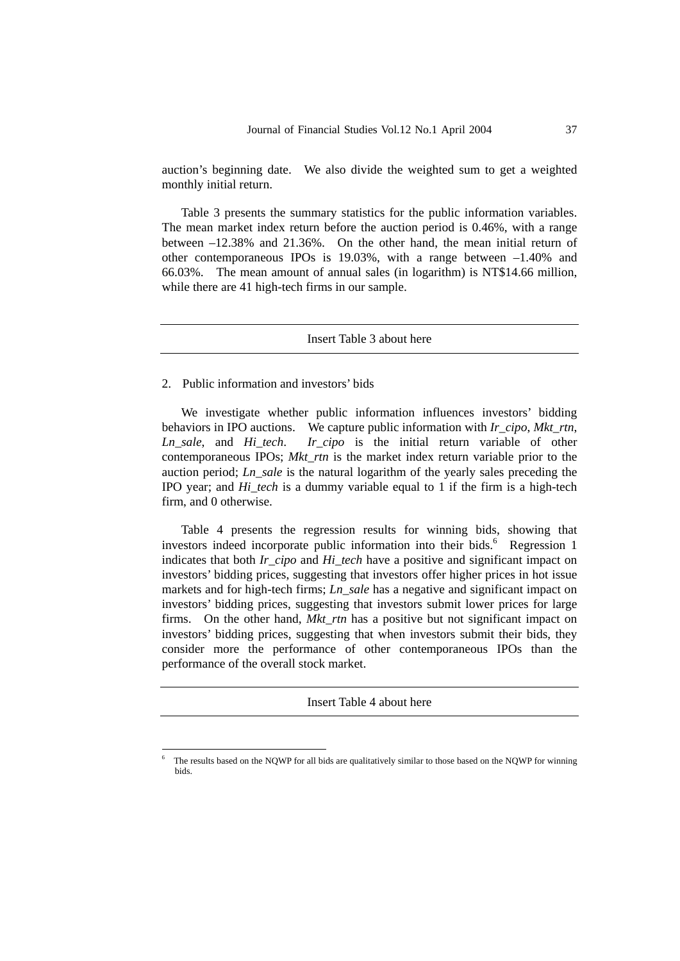auction's beginning date. We also divide the weighted sum to get a weighted monthly initial return.

Table 3 presents the summary statistics for the public information variables. The mean market index return before the auction period is 0.46%, with a range between –12.38% and 21.36%. On the other hand, the mean initial return of other contemporaneous IPOs is 19.03%, with a range between –1.40% and 66.03%. The mean amount of annual sales (in logarithm) is NT\$14.66 million, while there are 41 high-tech firms in our sample.

Insert Table 3 about here

#### 2. Public information and investors' bids

1

We investigate whether public information influences investors' bidding behaviors in IPO auctions. We capture public information with *Ir\_cipo*, *Mkt\_rtn*, *Ln\_sale*, and *Hi\_tech*. *Ir\_cipo* is the initial return variable of other contemporaneous IPOs; *Mkt\_rtn* is the market index return variable prior to the auction period; *Ln\_sale* is the natural logarithm of the yearly sales preceding the IPO year; and *Hi\_tech* is a dummy variable equal to 1 if the firm is a high-tech firm, and 0 otherwise.

Table 4 presents the regression results for winning bids, showing that investors indeed incorporate public information into their bids.<sup>6</sup> Regression 1 indicates that both *Ir cipo* and *Hi* tech have a positive and significant impact on investors' bidding prices, suggesting that investors offer higher prices in hot issue markets and for high-tech firms; *Ln\_sale* has a negative and significant impact on investors' bidding prices, suggesting that investors submit lower prices for large firms. On the other hand, *Mkt\_rtn* has a positive but not significant impact on investors' bidding prices, suggesting that when investors submit their bids, they consider more the performance of other contemporaneous IPOs than the performance of the overall stock market.

Insert Table 4 about here

<sup>6</sup> The results based on the NQWP for all bids are qualitatively similar to those based on the NQWP for winning bids.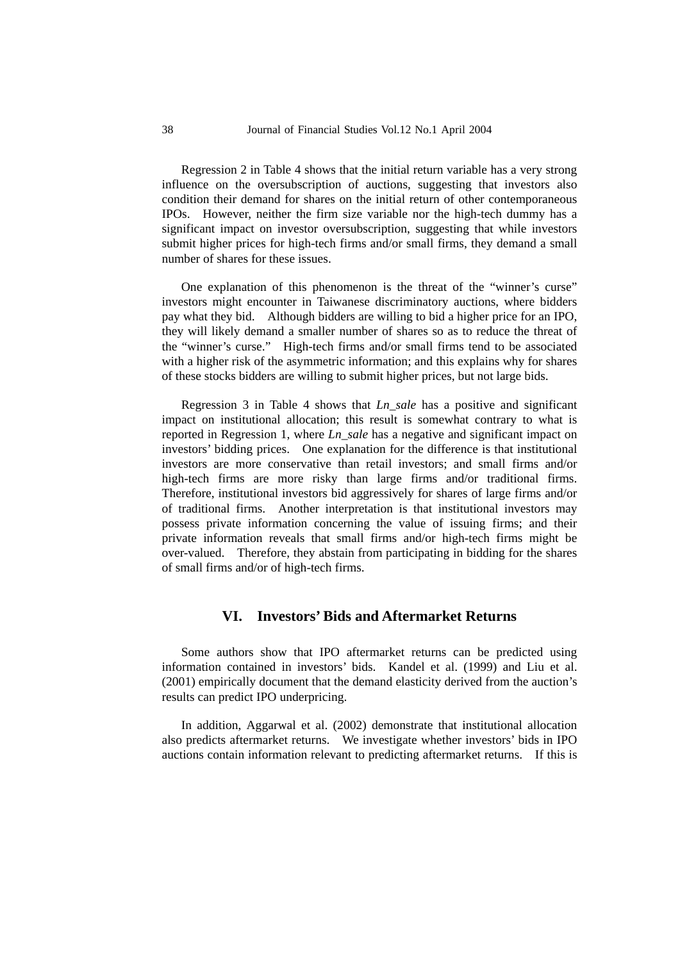Regression 2 in Table 4 shows that the initial return variable has a very strong influence on the oversubscription of auctions, suggesting that investors also condition their demand for shares on the initial return of other contemporaneous IPOs. However, neither the firm size variable nor the high-tech dummy has a significant impact on investor oversubscription, suggesting that while investors submit higher prices for high-tech firms and/or small firms, they demand a small number of shares for these issues.

One explanation of this phenomenon is the threat of the "winner's curse" investors might encounter in Taiwanese discriminatory auctions, where bidders pay what they bid. Although bidders are willing to bid a higher price for an IPO, they will likely demand a smaller number of shares so as to reduce the threat of the "winner's curse." High-tech firms and/or small firms tend to be associated with a higher risk of the asymmetric information; and this explains why for shares of these stocks bidders are willing to submit higher prices, but not large bids.

Regression 3 in Table 4 shows that *Ln\_sale* has a positive and significant impact on institutional allocation; this result is somewhat contrary to what is reported in Regression 1, where *Ln\_sale* has a negative and significant impact on investors' bidding prices. One explanation for the difference is that institutional investors are more conservative than retail investors; and small firms and/or high-tech firms are more risky than large firms and/or traditional firms. Therefore, institutional investors bid aggressively for shares of large firms and/or of traditional firms. Another interpretation is that institutional investors may possess private information concerning the value of issuing firms; and their private information reveals that small firms and/or high-tech firms might be over-valued. Therefore, they abstain from participating in bidding for the shares of small firms and/or of high-tech firms.

### **VI. Investors' Bids and Aftermarket Returns**

Some authors show that IPO aftermarket returns can be predicted using information contained in investors' bids. Kandel et al. (1999) and Liu et al. (2001) empirically document that the demand elasticity derived from the auction's results can predict IPO underpricing.

In addition, Aggarwal et al. (2002) demonstrate that institutional allocation also predicts aftermarket returns. We investigate whether investors' bids in IPO auctions contain information relevant to predicting aftermarket returns. If this is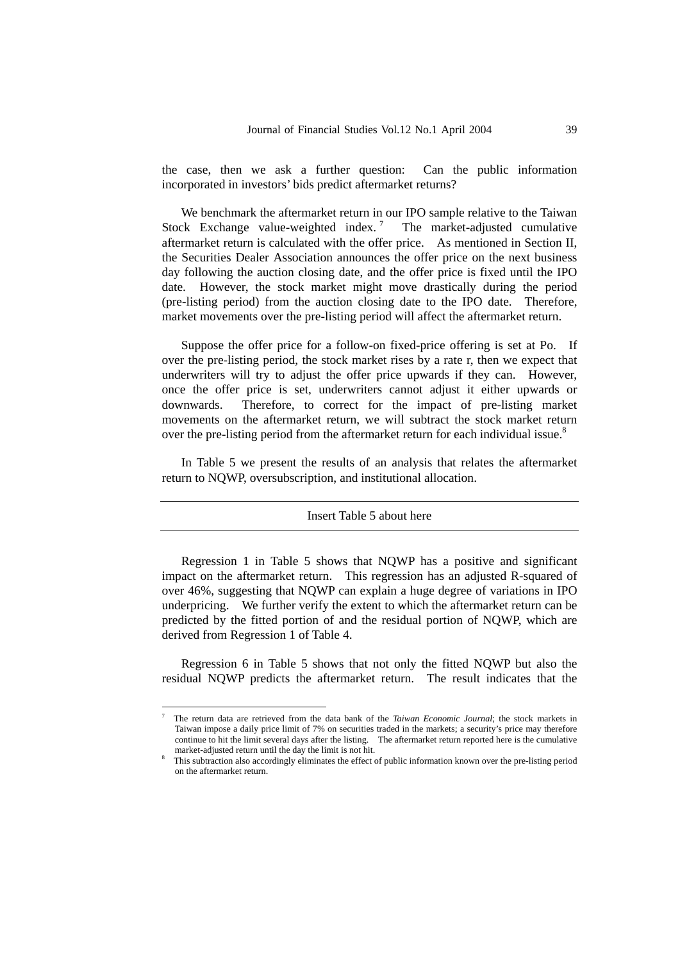the case, then we ask a further question: Can the public information incorporated in investors' bids predict aftermarket returns?

We benchmark the aftermarket return in our IPO sample relative to the Taiwan Stock Exchange value-weighted index. The market-adjusted cumulative aftermarket return is calculated with the offer price. As mentioned in Section II, the Securities Dealer Association announces the offer price on the next business day following the auction closing date, and the offer price is fixed until the IPO date. However, the stock market might move drastically during the period (pre-listing period) from the auction closing date to the IPO date. Therefore, market movements over the pre-listing period will affect the aftermarket return.

Suppose the offer price for a follow-on fixed-price offering is set at Po. If over the pre-listing period, the stock market rises by a rate r, then we expect that underwriters will try to adjust the offer price upwards if they can. However, once the offer price is set, underwriters cannot adjust it either upwards or downwards. Therefore, to correct for the impact of pre-listing market movements on the aftermarket return, we will subtract the stock market return over the pre-listing period from the aftermarket return for each individual issue.<sup>8</sup>

In Table 5 we present the results of an analysis that relates the aftermarket return to NQWP, oversubscription, and institutional allocation.

#### Insert Table 5 about here

Regression 1 in Table 5 shows that NQWP has a positive and significant impact on the aftermarket return. This regression has an adjusted R-squared of over 46%, suggesting that NQWP can explain a huge degree of variations in IPO underpricing. We further verify the extent to which the aftermarket return can be predicted by the fitted portion of and the residual portion of NQWP, which are derived from Regression 1 of Table 4.

Regression 6 in Table 5 shows that not only the fitted NQWP but also the residual NQWP predicts the aftermarket return. The result indicates that the

1

<sup>7</sup> The return data are retrieved from the data bank of the *Taiwan Economic Journal*; the stock markets in Taiwan impose a daily price limit of 7% on securities traded in the markets; a security's price may therefore continue to hit the limit several days after the listing. The aftermarket return reported here is the cumulative market-adjusted return until the day the limit is not hit. 8

This subtraction also accordingly eliminates the effect of public information known over the pre-listing period on the aftermarket return.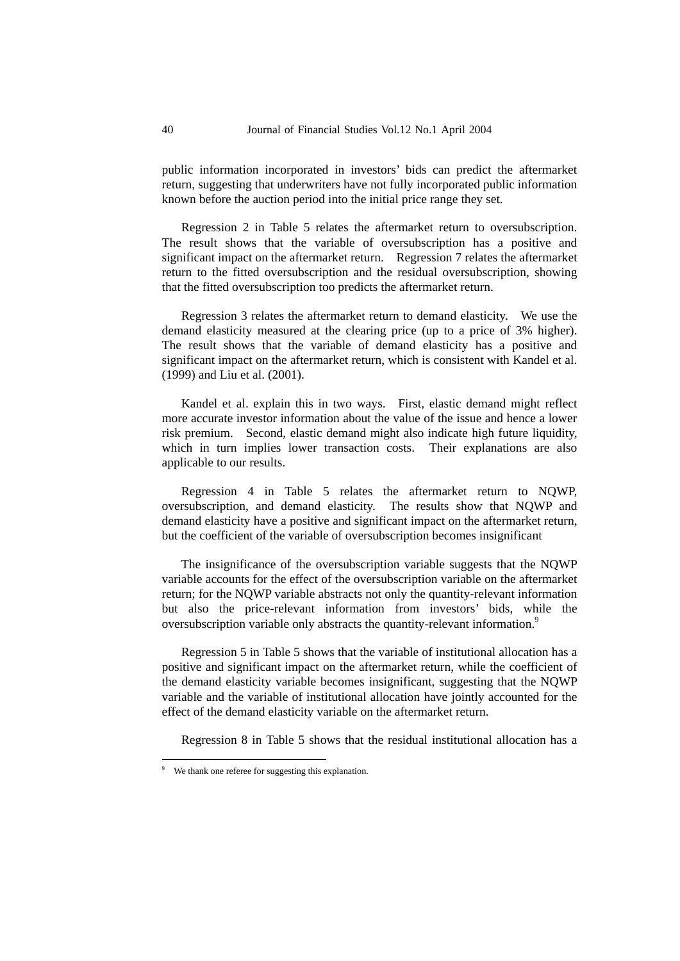public information incorporated in investors' bids can predict the aftermarket return, suggesting that underwriters have not fully incorporated public information known before the auction period into the initial price range they set.

Regression 2 in Table 5 relates the aftermarket return to oversubscription. The result shows that the variable of oversubscription has a positive and significant impact on the aftermarket return. Regression 7 relates the aftermarket return to the fitted oversubscription and the residual oversubscription, showing that the fitted oversubscription too predicts the aftermarket return.

Regression 3 relates the aftermarket return to demand elasticity. We use the demand elasticity measured at the clearing price (up to a price of 3% higher). The result shows that the variable of demand elasticity has a positive and significant impact on the aftermarket return, which is consistent with Kandel et al. (1999) and Liu et al. (2001).

Kandel et al. explain this in two ways. First, elastic demand might reflect more accurate investor information about the value of the issue and hence a lower risk premium. Second, elastic demand might also indicate high future liquidity, which in turn implies lower transaction costs. Their explanations are also applicable to our results.

Regression 4 in Table 5 relates the aftermarket return to NQWP, oversubscription, and demand elasticity. The results show that NQWP and demand elasticity have a positive and significant impact on the aftermarket return, but the coefficient of the variable of oversubscription becomes insignificant

The insignificance of the oversubscription variable suggests that the NQWP variable accounts for the effect of the oversubscription variable on the aftermarket return; for the NQWP variable abstracts not only the quantity-relevant information but also the price-relevant information from investors' bids, while the oversubscription variable only abstracts the quantity-relevant information.<sup>9</sup>

Regression 5 in Table 5 shows that the variable of institutional allocation has a positive and significant impact on the aftermarket return, while the coefficient of the demand elasticity variable becomes insignificant, suggesting that the NQWP variable and the variable of institutional allocation have jointly accounted for the effect of the demand elasticity variable on the aftermarket return.

Regression 8 in Table 5 shows that the residual institutional allocation has a

<u>.</u>

<sup>9</sup> We thank one referee for suggesting this explanation.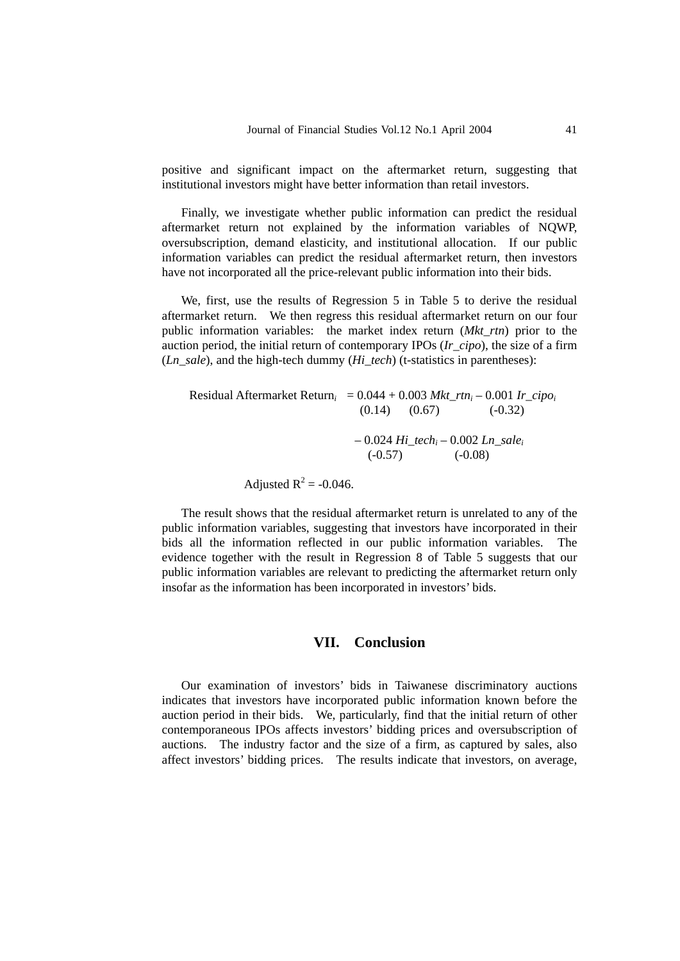positive and significant impact on the aftermarket return, suggesting that institutional investors might have better information than retail investors.

Finally, we investigate whether public information can predict the residual aftermarket return not explained by the information variables of NQWP, oversubscription, demand elasticity, and institutional allocation. If our public information variables can predict the residual aftermarket return, then investors have not incorporated all the price-relevant public information into their bids.

We, first, use the results of Regression 5 in Table 5 to derive the residual aftermarket return. We then regress this residual aftermarket return on our four public information variables: the market index return (*Mkt\_rtn*) prior to the auction period, the initial return of contemporary IPOs (*Ir\_cipo*), the size of a firm (*Ln\_sale*), and the high-tech dummy (*Hi\_tech*) (t-statistics in parentheses):

| Residual Aftermarket Return <sub>i</sub> = $0.044 + 0.003$ Mkt_rtn <sub>i</sub> – 0.001 Ir_cipo <sub>i</sub> |                                                             |                   |           |  |
|--------------------------------------------------------------------------------------------------------------|-------------------------------------------------------------|-------------------|-----------|--|
|                                                                                                              |                                                             | $(0.14)$ $(0.67)$ | $(-0.32)$ |  |
|                                                                                                              |                                                             |                   |           |  |
|                                                                                                              | $-0.024$ Hi tech <sub>i</sub> $-0.002$ Ln sale <sub>i</sub> |                   |           |  |
|                                                                                                              | $(-0.57)$                                                   |                   | $(-0.08)$ |  |
|                                                                                                              |                                                             |                   |           |  |

Adjusted  $R^2$  = -0.046.

The result shows that the residual aftermarket return is unrelated to any of the public information variables, suggesting that investors have incorporated in their bids all the information reflected in our public information variables. The evidence together with the result in Regression 8 of Table 5 suggests that our public information variables are relevant to predicting the aftermarket return only insofar as the information has been incorporated in investors' bids.

### **VII. Conclusion**

Our examination of investors' bids in Taiwanese discriminatory auctions indicates that investors have incorporated public information known before the auction period in their bids. We, particularly, find that the initial return of other contemporaneous IPOs affects investors' bidding prices and oversubscription of auctions. The industry factor and the size of a firm, as captured by sales, also affect investors' bidding prices. The results indicate that investors, on average,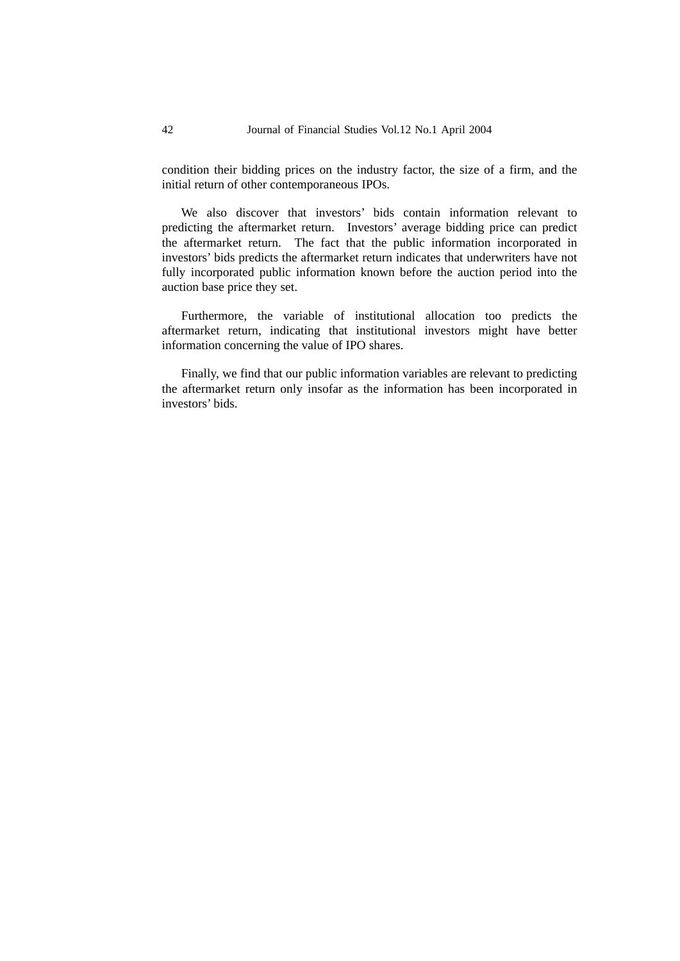condition their bidding prices on the industry factor, the size of a firm, and the initial return of other contemporaneous IPOs.

We also discover that investors' bids contain information relevant to predicting the aftermarket return. Investors' average bidding price can predict the aftermarket return. The fact that the public information incorporated in investors' bids predicts the aftermarket return indicates that underwriters have not fully incorporated public information known before the auction period into the auction base price they set.

Furthermore, the variable of institutional allocation too predicts the aftermarket return, indicating that institutional investors might have better information concerning the value of IPO shares.

Finally, we find that our public information variables are relevant to predicting the aftermarket return only insofar as the information has been incorporated in investors' bids.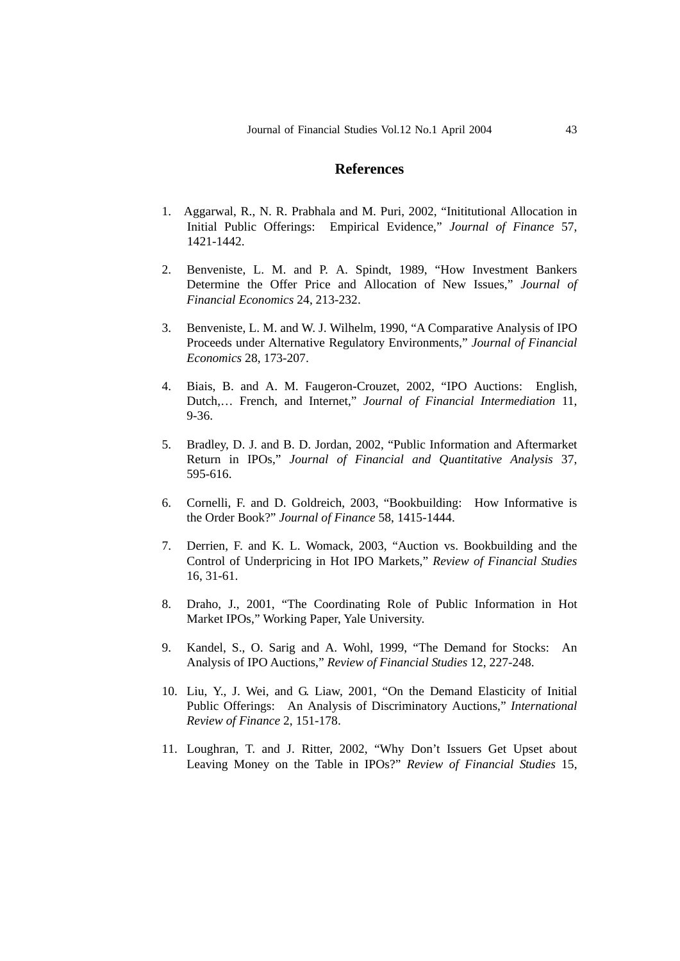### **References**

- 1. Aggarwal, R., N. R. Prabhala and M. Puri, 2002, "Inititutional Allocation in Initial Public Offerings: Empirical Evidence," *Journal of Finance* 57, 1421-1442.
- 2. Benveniste, L. M. and P. A. Spindt, 1989, "How Investment Bankers Determine the Offer Price and Allocation of New Issues," *Journal of Financial Economics* 24, 213-232.
- 3. Benveniste, L. M. and W. J. Wilhelm, 1990, "A Comparative Analysis of IPO Proceeds under Alternative Regulatory Environments," *Journal of Financial Economics* 28, 173-207.
- 4. Biais, B. and A. M. Faugeron-Crouzet, 2002, "IPO Auctions: English, Dutch,… French, and Internet," *Journal of Financial Intermediation* 11, 9-36.
- 5. Bradley, D. J. and B. D. Jordan, 2002, "Public Information and Aftermarket Return in IPOs," *Journal of Financial and Quantitative Analysis* 37, 595-616.
- 6. Cornelli, F. and D. Goldreich, 2003, "Bookbuilding: How Informative is the Order Book?" *Journal of Finance* 58, 1415-1444.
- 7. Derrien, F. and K. L. Womack, 2003, "Auction vs. Bookbuilding and the Control of Underpricing in Hot IPO Markets," *Review of Financial Studies*  16, 31-61.
- 8. Draho, J., 2001, "The Coordinating Role of Public Information in Hot Market IPOs," Working Paper, Yale University.
- 9. Kandel, S., O. Sarig and A. Wohl, 1999, "The Demand for Stocks: An Analysis of IPO Auctions," *Review of Financial Studies* 12, 227-248.
- 10. Liu, Y., J. Wei, and G. Liaw, 2001, "On the Demand Elasticity of Initial Public Offerings: An Analysis of Discriminatory Auctions," *International Review of Finance* 2, 151-178.
- 11. Loughran, T. and J. Ritter, 2002, "Why Don't Issuers Get Upset about Leaving Money on the Table in IPOs?" *Review of Financial Studies* 15,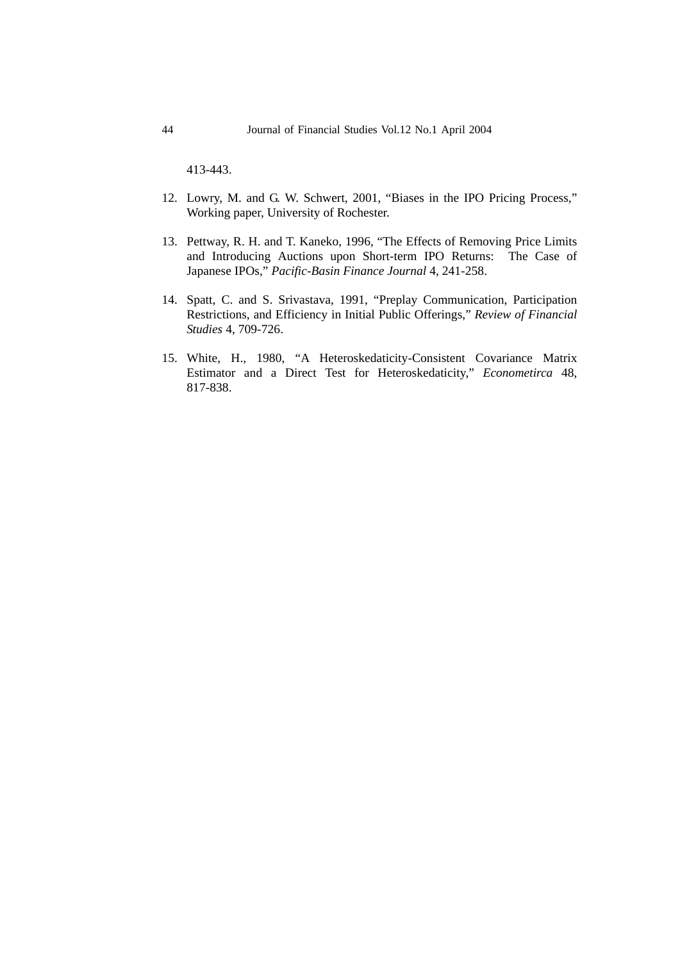413-443.

- 12. Lowry, M. and G. W. Schwert, 2001, "Biases in the IPO Pricing Process," Working paper, University of Rochester.
- 13. Pettway, R. H. and T. Kaneko, 1996, "The Effects of Removing Price Limits and Introducing Auctions upon Short-term IPO Returns: The Case of Japanese IPOs," *Pacific-Basin Finance Journal* 4, 241-258.
- 14. Spatt, C. and S. Srivastava, 1991, "Preplay Communication, Participation Restrictions, and Efficiency in Initial Public Offerings," *Review of Financial Studies* 4, 709-726.
- 15. White, H., 1980, "A Heteroskedaticity-Consistent Covariance Matrix Estimator and a Direct Test for Heteroskedaticity," *Econometirca* 48, 817-838.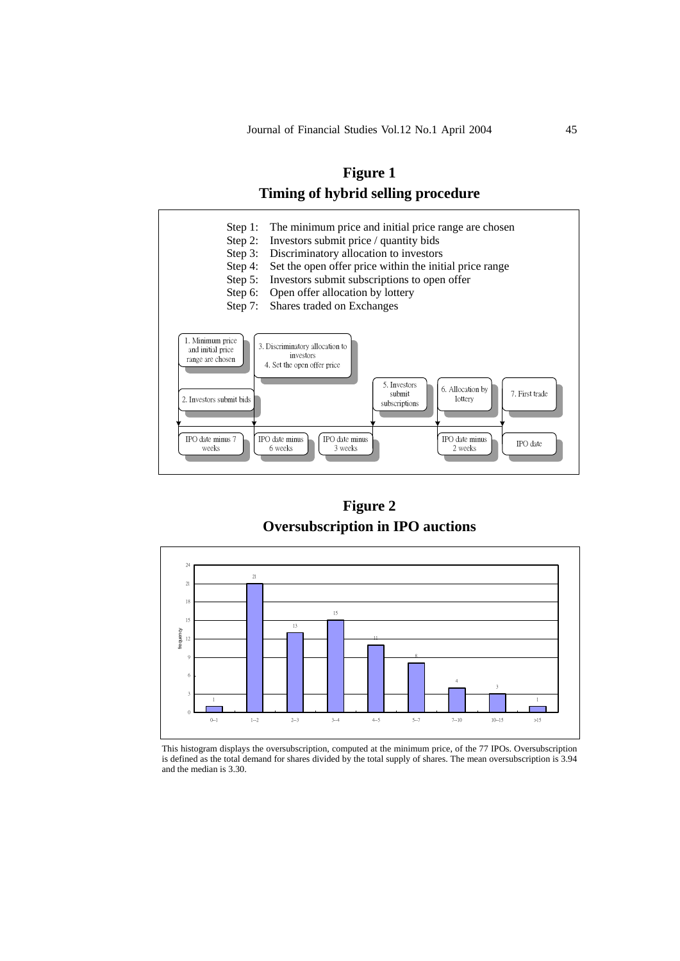



**Figure 2 Oversubscription in IPO auctions** 



This histogram displays the oversubscription, computed at the minimum price, of the 77 IPOs. Oversubscription is defined as the total demand for shares divided by the total supply of shares. The mean oversubscription is 3.94 and the median is 3.30.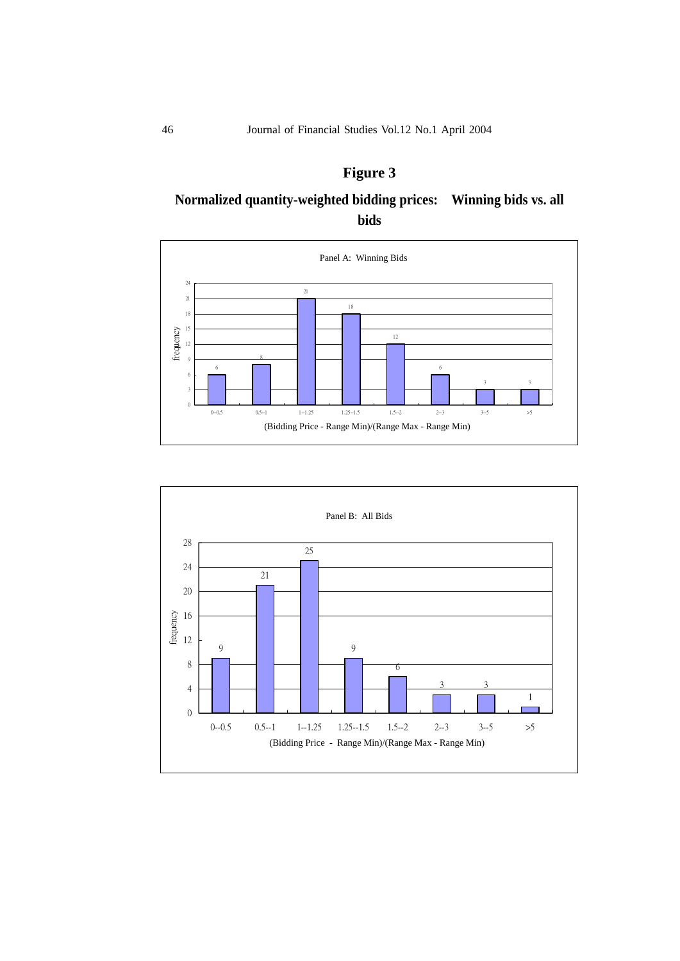# **Figure 3**

# **Normalized quantity-weighted bidding prices: Winning bids vs. all bids**



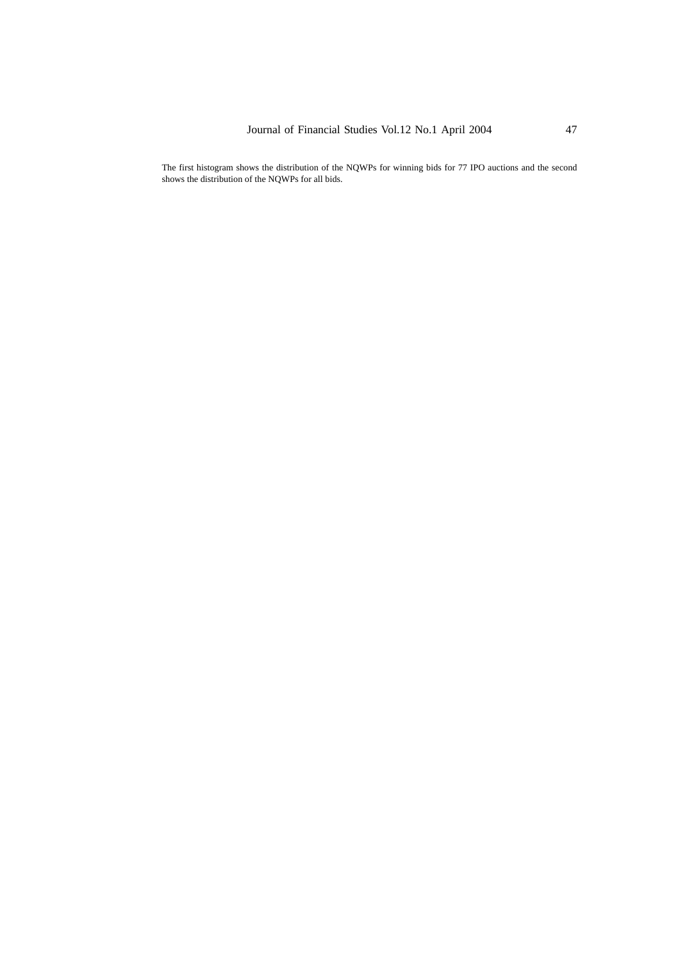The first histogram shows the distribution of the NQWPs for winning bids for 77 IPO auctions and the second shows the distribution of the NQWPs for all bids.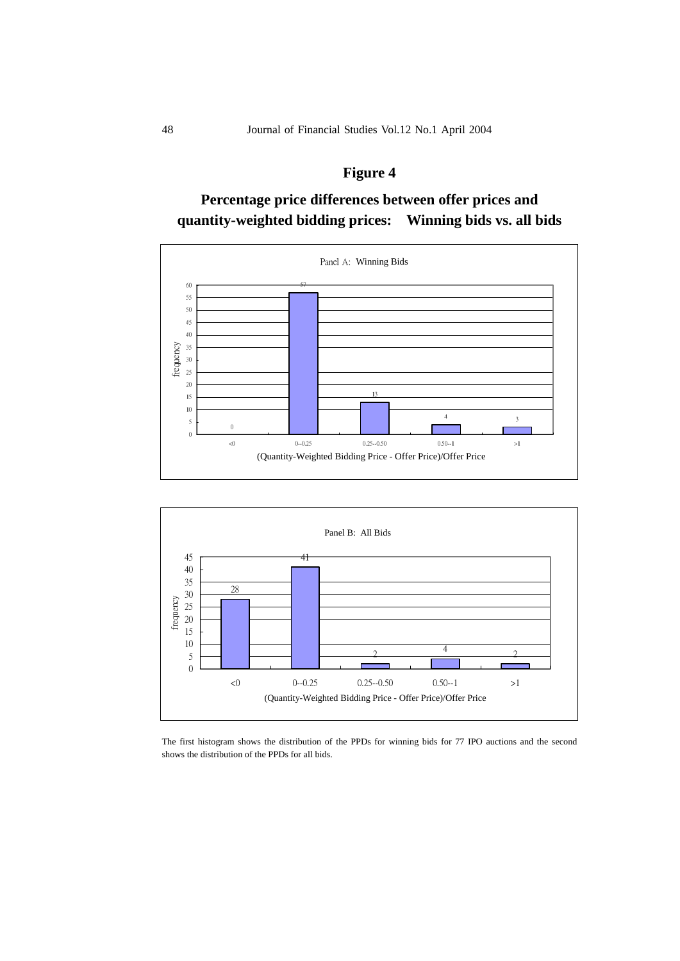# **Figure 4**

# **Percentage price differences between offer prices and quantity-weighted bidding prices: Winning bids vs. all bids**





The first histogram shows the distribution of the PPDs for winning bids for 77 IPO auctions and the second shows the distribution of the PPDs for all bids.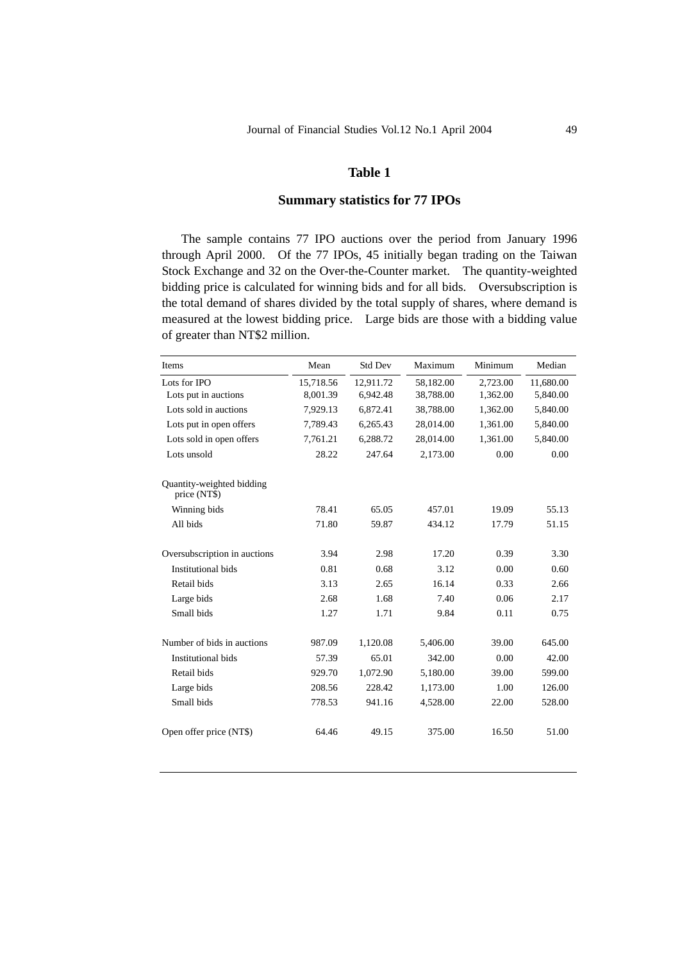### **Summary statistics for 77 IPOs**

The sample contains 77 IPO auctions over the period from January 1996 through April 2000. Of the 77 IPOs, 45 initially began trading on the Taiwan Stock Exchange and 32 on the Over-the-Counter market. The quantity-weighted bidding price is calculated for winning bids and for all bids. Oversubscription is the total demand of shares divided by the total supply of shares, where demand is measured at the lowest bidding price. Large bids are those with a bidding value of greater than NT\$2 million.

| Items                                     | Mean      | <b>Std Dev</b> | Maximum   | Minimum  | Median    |
|-------------------------------------------|-----------|----------------|-----------|----------|-----------|
| Lots for IPO                              | 15,718.56 | 12.911.72      | 58,182.00 | 2,723.00 | 11,680.00 |
| Lots put in auctions                      | 8,001.39  | 6,942.48       | 38,788.00 | 1,362.00 | 5,840.00  |
| Lots sold in auctions                     | 7,929.13  | 6,872.41       | 38,788.00 | 1,362.00 | 5,840.00  |
| Lots put in open offers                   | 7,789.43  | 6,265.43       | 28,014.00 | 1,361.00 | 5,840.00  |
| Lots sold in open offers                  | 7,761.21  | 6,288.72       | 28,014.00 | 1,361.00 | 5,840.00  |
| Lots unsold                               | 28.22     | 247.64         | 2,173.00  | 0.00     | 0.00      |
| Quantity-weighted bidding<br>price (NT\$) |           |                |           |          |           |
| Winning bids                              | 78.41     | 65.05          | 457.01    | 19.09    | 55.13     |
| All bids                                  | 71.80     | 59.87          | 434.12    | 17.79    | 51.15     |
| Oversubscription in auctions              | 3.94      | 2.98           | 17.20     | 0.39     | 3.30      |
| <b>Institutional bids</b>                 | 0.81      | 0.68           | 3.12      | 0.00     | 0.60      |
| Retail bids                               | 3.13      | 2.65           | 16.14     | 0.33     | 2.66      |
| Large bids                                | 2.68      | 1.68           | 7.40      | 0.06     | 2.17      |
| Small bids                                | 1.27      | 1.71           | 9.84      | 0.11     | 0.75      |
| Number of bids in auctions                | 987.09    | 1,120.08       | 5,406.00  | 39.00    | 645.00    |
| <b>Institutional bids</b>                 | 57.39     | 65.01          | 342.00    | 0.00     | 42.00     |
| Retail bids                               | 929.70    | 1,072.90       | 5,180.00  | 39.00    | 599.00    |
| Large bids                                | 208.56    | 228.42         | 1,173.00  | 1.00     | 126.00    |
| Small bids                                | 778.53    | 941.16         | 4,528.00  | 22.00    | 528.00    |
| Open offer price (NT\$)                   | 64.46     | 49.15          | 375.00    | 16.50    | 51.00     |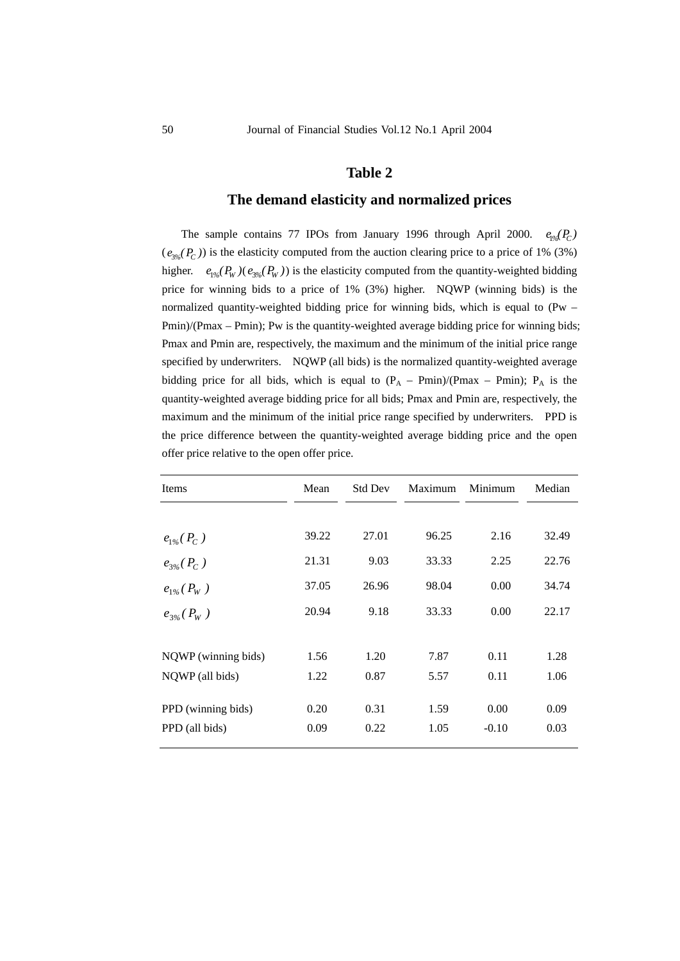### **The demand elasticity and normalized prices**

The sample contains 77 IPOs from January 1996 through April 2000.  $e_{\varphi}(P_C)$  $(e_{\alpha} (P_C))$  is the elasticity computed from the auction clearing price to a price of 1% (3%) higher.  $e_{\text{1%}}(P_W)(e_{\text{2%}}(P_W))$  is the elasticity computed from the quantity-weighted bidding price for winning bids to a price of 1% (3%) higher. NQWP (winning bids) is the normalized quantity-weighted bidding price for winning bids, which is equal to (Pw – Pmin)/(Pmax – Pmin); Pw is the quantity-weighted average bidding price for winning bids; Pmax and Pmin are, respectively, the maximum and the minimum of the initial price range specified by underwriters. NQWP (all bids) is the normalized quantity-weighted average bidding price for all bids, which is equal to  $(P_A - Pmin)/(Pmax - Pmin)$ ;  $P_A$  is the quantity-weighted average bidding price for all bids; Pmax and Pmin are, respectively, the maximum and the minimum of the initial price range specified by underwriters. PPD is the price difference between the quantity-weighted average bidding price and the open offer price relative to the open offer price.

| Items               | Mean  | <b>Std Dev</b> | Maximum | Minimum | Median |
|---------------------|-------|----------------|---------|---------|--------|
|                     |       |                |         |         |        |
| $e_{1\%}(P_C)$      | 39.22 | 27.01          | 96.25   | 2.16    | 32.49  |
| $e_{3\%}(P_C)$      | 21.31 | 9.03           | 33.33   | 2.25    | 22.76  |
| $e_{1\%}(P_W)$      | 37.05 | 26.96          | 98.04   | 0.00    | 34.74  |
| $e_{3\%}(P_W)$      | 20.94 | 9.18           | 33.33   | 0.00    | 22.17  |
|                     |       |                |         |         |        |
| NQWP (winning bids) | 1.56  | 1.20           | 7.87    | 0.11    | 1.28   |
| NQWP (all bids)     | 1.22  | 0.87           | 5.57    | 0.11    | 1.06   |
| PPD (winning bids)  | 0.20  | 0.31           | 1.59    | 0.00    | 0.09   |
| PPD (all bids)      | 0.09  | 0.22           | 1.05    | $-0.10$ | 0.03   |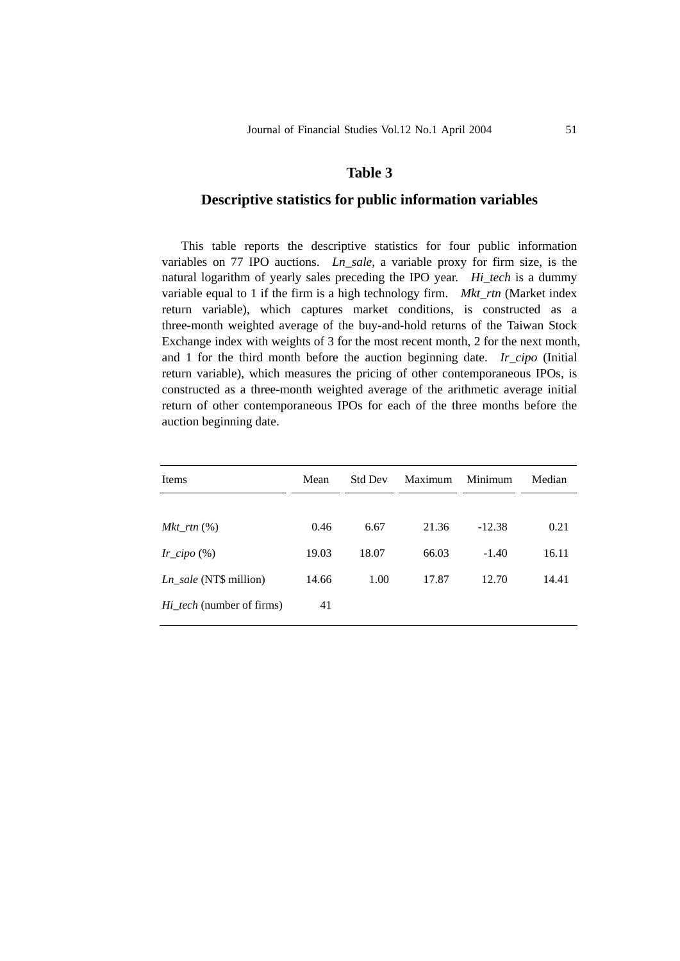## **Descriptive statistics for public information variables**

This table reports the descriptive statistics for four public information variables on 77 IPO auctions. *Ln\_sale*, a variable proxy for firm size, is the natural logarithm of yearly sales preceding the IPO year. *Hi\_tech* is a dummy variable equal to 1 if the firm is a high technology firm. *Mkt\_rtn* (Market index return variable), which captures market conditions, is constructed as a three-month weighted average of the buy-and-hold returns of the Taiwan Stock Exchange index with weights of 3 for the most recent month, 2 for the next month, and 1 for the third month before the auction beginning date. *Ir cipo* (Initial return variable), which measures the pricing of other contemporaneous IPOs, is constructed as a three-month weighted average of the arithmetic average initial return of other contemporaneous IPOs for each of the three months before the auction beginning date.

| Items                            | Mean  | <b>Std Dev</b> | Maximum | Minimum  | Median |  |
|----------------------------------|-------|----------------|---------|----------|--------|--|
|                                  |       |                |         |          |        |  |
| $Mkt\_rtn$ $(\%)$                | 0.46  | 6.67           | 21.36   | $-12.38$ | 0.21   |  |
| $Ir\_cipo$ (%)                   | 19.03 | 18.07          | 66.03   | $-1.40$  | 16.11  |  |
| $Ln\_sale$ (NT\$ million)        | 14.66 | 1.00           | 17.87   | 12.70    | 14.41  |  |
| <i>Hi_tech</i> (number of firms) | 41    |                |         |          |        |  |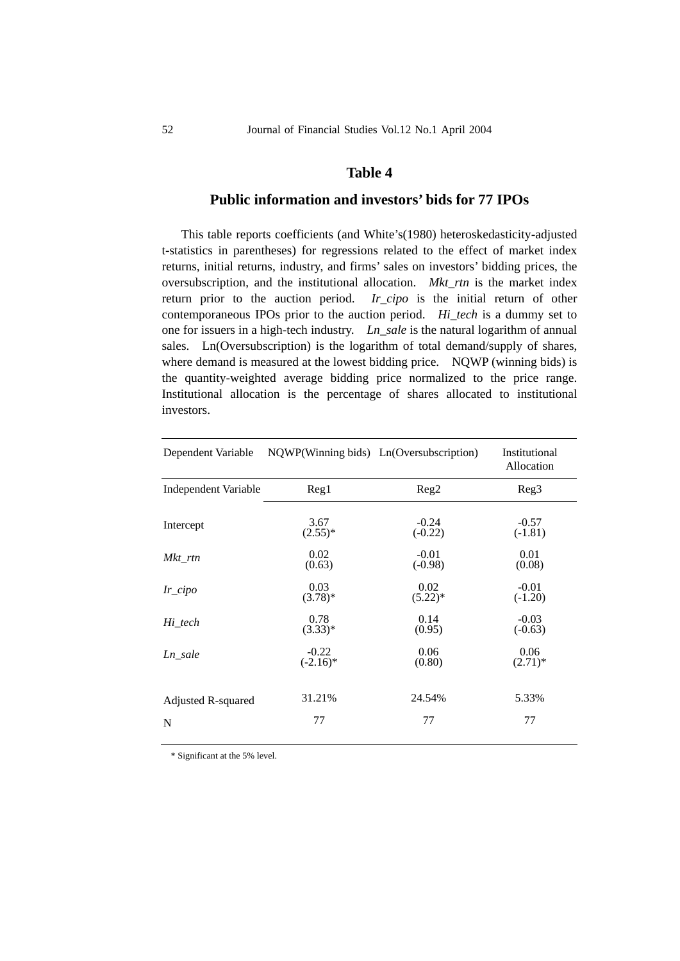## **Public information and investors' bids for 77 IPOs**

This table reports coefficients (and White's(1980) heteroskedasticity-adjusted t-statistics in parentheses) for regressions related to the effect of market index returns, initial returns, industry, and firms' sales on investors' bidding prices, the oversubscription, and the institutional allocation. *Mkt\_rtn* is the market index return prior to the auction period. *Ir\_cipo* is the initial return of other contemporaneous IPOs prior to the auction period. *Hi\_tech* is a dummy set to one for issuers in a high-tech industry. *Ln\_sale* is the natural logarithm of annual sales. Ln(Oversubscription) is the logarithm of total demand/supply of shares, where demand is measured at the lowest bidding price. NQWP (winning bids) is the quantity-weighted average bidding price normalized to the price range. Institutional allocation is the percentage of shares allocated to institutional investors.

| Dependent Variable          | NQWP(Winning bids) Ln(Oversubscription) |                  | Institutional<br>Allocation |  |  |
|-----------------------------|-----------------------------------------|------------------|-----------------------------|--|--|
| <b>Independent Variable</b> | Reg1                                    | Reg <sub>2</sub> | Reg <sub>3</sub>            |  |  |
| Intercept                   | 3.67                                    | $-0.24$          | $-0.57$                     |  |  |
|                             | $(2.55)^*$                              | $(-0.22)$        | $(-1.81)$                   |  |  |
| $Mkt\_rtn$                  | 0.02                                    | $-0.01$          | 0.01                        |  |  |
|                             | (0.63)                                  | $(-0.98)$        | (0.08)                      |  |  |
| $Ir\_cipo$                  | 0.03                                    | 0.02             | $-0.01$                     |  |  |
|                             | $(3.78)$ *                              | $(5.22)^*$       | $(-1.20)$                   |  |  |
| Hi_tech                     | 0.78                                    | 0.14             | $-0.03$                     |  |  |
|                             | $(3.33)*$                               | (0.95)           | $(-0.63)$                   |  |  |
| Ln sale                     | $-0.22$                                 | 0.06             | 0.06                        |  |  |
|                             | $(-2.16)^*$                             | (0.80)           | $(2.71)^*$                  |  |  |
| Adjusted R-squared          | 31.21%                                  | 24.54%           | 5.33%                       |  |  |
| N                           | 77                                      | 77               | 77                          |  |  |
|                             |                                         |                  |                             |  |  |

\* Significant at the 5% level.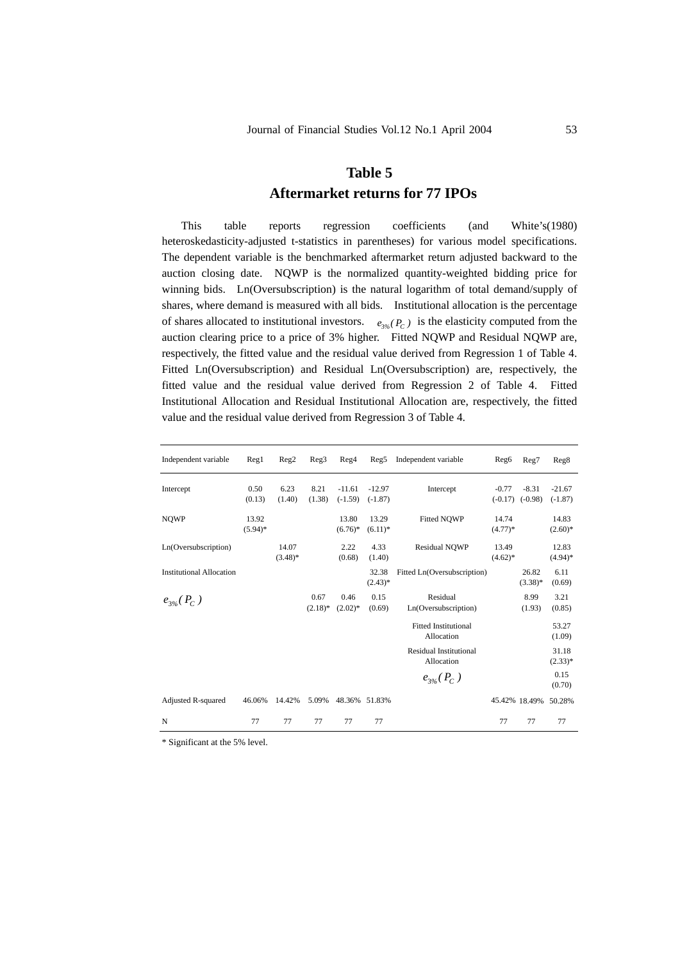# **Table 5 Aftermarket returns for 77 IPOs**

This table reports regression coefficients (and White's(1980) heteroskedasticity-adjusted t-statistics in parentheses) for various model specifications. The dependent variable is the benchmarked aftermarket return adjusted backward to the auction closing date. NQWP is the normalized quantity-weighted bidding price for winning bids. Ln(Oversubscription) is the natural logarithm of total demand/supply of shares, where demand is measured with all bids. Institutional allocation is the percentage of shares allocated to institutional investors.  $e_{\alpha}$   $(P_C)$  is the elasticity computed from the auction clearing price to a price of 3% higher. Fitted NQWP and Residual NQWP are, respectively, the fitted value and the residual value derived from Regression 1 of Table 4. Fitted Ln(Oversubscription) and Residual Ln(Oversubscription) are, respectively, the fitted value and the residual value derived from Regression 2 of Table 4. Fitted Institutional Allocation and Residual Institutional Allocation are, respectively, the fitted value and the residual value derived from Regression 3 of Table 4.

| Independent variable            | $\text{Reg}1$       | Reg2                | Reg3               | Reg4                  | Reg5                  | Independent variable                        | Reg <sub>6</sub>     | Reg7                 | Reg8                  |
|---------------------------------|---------------------|---------------------|--------------------|-----------------------|-----------------------|---------------------------------------------|----------------------|----------------------|-----------------------|
| Intercept                       | 0.50<br>(0.13)      | 6.23<br>(1.40)      | 8.21<br>(1.38)     | $-11.61$<br>$(-1.59)$ | $-12.97$<br>$(-1.87)$ | Intercept                                   | $-0.77$<br>$(-0.17)$ | $-8.31$<br>$(-0.98)$ | $-21.67$<br>$(-1.87)$ |
| <b>NQWP</b>                     | 13.92<br>$(5.94)$ * |                     |                    | 13.80<br>$(6.76)^*$   | 13.29<br>$(6.11)^*$   | <b>Fitted NOWP</b>                          | 14.74<br>$(4.77)*$   |                      | 14.83<br>$(2.60)*$    |
| Ln(Oversubscription)            |                     | 14.07<br>$(3.48)$ * |                    | 2.22<br>(0.68)        | 4.33<br>(1.40)        | Residual NQWP                               | 13.49<br>$(4.62)$ *  |                      | 12.83<br>$(4.94)$ *   |
| <b>Institutional Allocation</b> |                     |                     |                    |                       | 32.38<br>$(2.43)*$    | Fitted Ln(Oversubscription)                 |                      | 26.82<br>$(3.38)$ *  | 6.11<br>(0.69)        |
| $e_{3\%}(P_C)$                  |                     |                     | 0.67<br>$(2.18)$ * | 0.46<br>$(2.02)*$     | 0.15<br>(0.69)        | Residual<br>Ln(Oversubscription)            |                      | 8.99<br>(1.93)       | 3.21<br>(0.85)        |
|                                 |                     |                     |                    |                       |                       | <b>Fitted Institutional</b><br>Allocation   |                      |                      | 53.27<br>(1.09)       |
|                                 |                     |                     |                    |                       |                       | <b>Residual Institutional</b><br>Allocation |                      |                      | 31.18<br>$(2.33)*$    |
|                                 |                     |                     |                    |                       |                       | $e_{3\%}(P_C)$                              |                      |                      | 0.15<br>(0.70)        |
| <b>Adjusted R-squared</b>       | 46.06%              | 14.42%              | 5.09%              | 48.36%                | 51.83%                |                                             | 45.42% 18.49%        |                      | 50.28%                |
| N                               | 77                  | 77                  | 77                 | 77                    | 77                    |                                             | 77                   | 77                   | 77                    |

\* Significant at the 5% level.